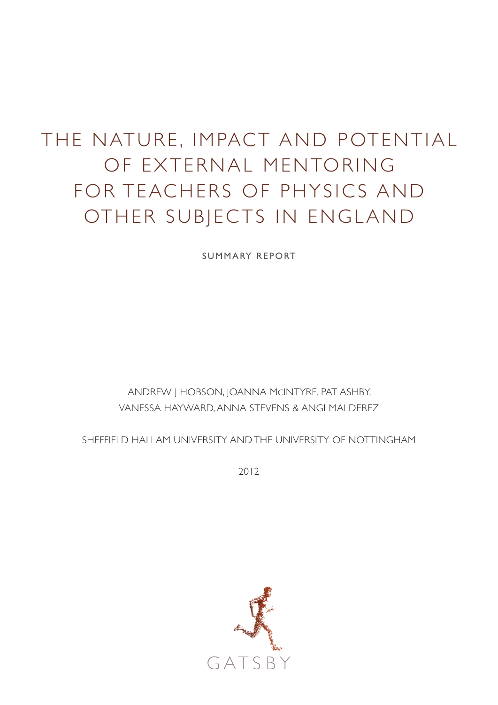# THE NATURE, IMPACT AND POTENTIAL OF EXTERNAL MENTORING FOR TEACHERS OF PHYSICS AND OTHER SUBJECTS IN ENGLAND

SUMMARY REPORT

# ANDREW J HOBSON, JOANNA MCINTYRE, PAT ASHBY, VANESSA HAYWARD, ANNA STEVENS & ANGI MALDEREZ

SHEFFIELD HALLAM UNIVERSITY AND THE UNIVERSITY OF NOTTINGHAM

2012

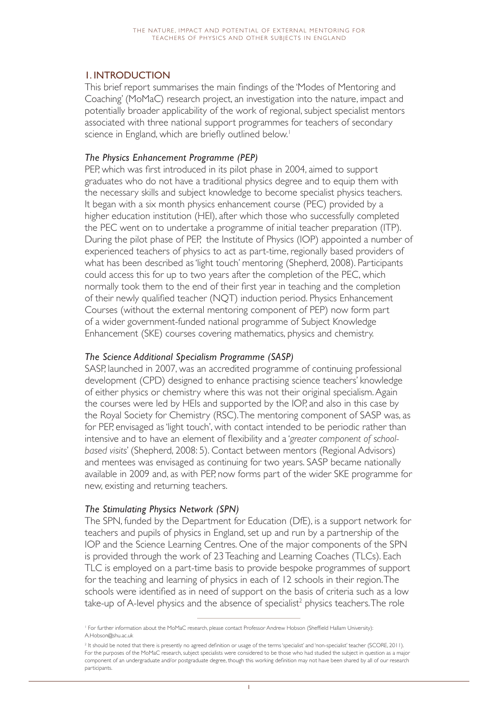# 1. INTRODUCTION

This brief report summarises the main findings of the 'Modes of Mentoring and Coaching' (MoMaC) research project, an investigation into the nature, impact and potentially broader applicability of the work of regional, subject specialist mentors associated with three national support programmes for teachers of secondary science in England, which are briefly outlined below.<sup>1</sup>

# *The Physics Enhancement Programme (PEP)*

PEP, which was first introduced in its pilot phase in 2004, aimed to support graduates who do not have a traditional physics degree and to equip them with the necessary skills and subject knowledge to become specialist physics teachers. It began with a six month physics enhancement course (PEC) provided by a higher education institution (HEI), after which those who successfully completed the PEC went on to undertake a programme of initial teacher preparation (ITP). During the pilot phase of PEP, the Institute of Physics (IOP) appointed a number of experienced teachers of physics to act as part-time, regionally based providers of what has been described as 'light touch' mentoring (Shepherd, 2008). Participants could access this for up to two years after the completion of the PEC, which normally took them to the end of their first year in teaching and the completion of their newly qualified teacher (NQT) induction period. Physics Enhancement Courses (without the external mentoring component of PEP) now form part of a wider government-funded national programme of Subject Knowledge Enhancement (SKE) courses covering mathematics, physics and chemistry.

## *The Science Additional Specialism Programme (SASP)*

SASP, launched in 2007, was an accredited programme of continuing professional development (CPD) designed to enhance practising science teachers' knowledge of either physics or chemistry where this was not their original specialism. Again the courses were led by HEIs and supported by the IOP, and also in this case by the Royal Society for Chemistry (RSC). The mentoring component of SASP was, as for PEP, envisaged as 'light touch', with contact intended to be periodic rather than intensive and to have an element of flexibility and a '*greater component of schoolbased visits*' (Shepherd, 2008: 5). Contact between mentors (Regional Advisors) and mentees was envisaged as continuing for two years. SASP became nationally available in 2009 and, as with PEP, now forms part of the wider SKE programme for new, existing and returning teachers.

#### *The Stimulating Physics Network (SPN)*

The SPN, funded by the Department for Education (DfE), is a support network for teachers and pupils of physics in England, set up and run by a partnership of the IOP and the Science Learning Centres. One of the major components of the SPN is provided through the work of 23 Teaching and Learning Coaches (TLCs). Each TLC is employed on a part-time basis to provide bespoke programmes of support for the teaching and learning of physics in each of 12 schools in their region. The schools were identified as in need of support on the basis of criteria such as a low  $t$ ake-up of A-level physics and the absence of specialist<sup>2</sup> physics teachers. The role

<sup>1</sup> For further information about the MoMaC research, please contact Professor Andrew Hobson (Sheffield Hallam University): A.Hobson@shu.ac.uk

<sup>&</sup>lt;sup>2</sup> It should be noted that there is presently no agreed definition or usage of the terms 'specialist' and 'non-specialist' teacher (SCORE, 2011). For the purposes of the MoMaC research, subject specialists were considered to be those who had studied the subject in question as a major component of an undergraduate and/or postgraduate degree, though this working definition may not have been shared by all of our research participants.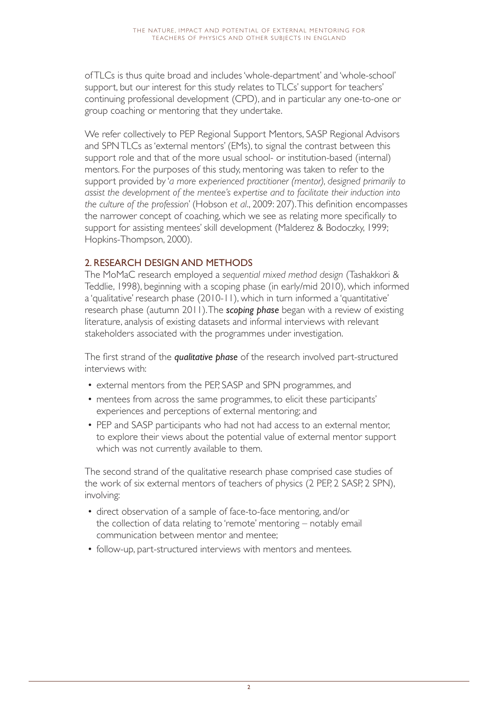of TLCs is thus quite broad and includes 'whole-department' and 'whole-school' support, but our interest for this study relates to TLCs' support for teachers' continuing professional development (CPD), and in particular any one-to-one or group coaching or mentoring that they undertake.

We refer collectively to PEP Regional Support Mentors, SASP Regional Advisors and SPN TLCs as 'external mentors' (EMs), to signal the contrast between this support role and that of the more usual school- or institution-based (internal) mentors. For the purposes of this study, mentoring was taken to refer to the support provided by '*a more experienced practitioner (mentor), designed primarily to assist the development of the mentee's expertise and to facilitate their induction into the culture of the profession*' (Hobson *et al*., 2009: 207). This definition encompasses the narrower concept of coaching, which we see as relating more specifically to support for assisting mentees' skill development (Malderez & Bodoczky, 1999; Hopkins-Thompson, 2000).

# 2. RESEARCH DESIGN AND METHODS

The MoMaC research employed a *sequential mixed method design* (Tashakkori & Teddlie, 1998), beginning with a scoping phase (in early/mid 2010), which informed a 'qualitative' research phase (2010-11), which in turn informed a 'quantitative' research phase (autumn 2011). The *scoping phase* began with a review of existing literature, analysis of existing datasets and informal interviews with relevant stakeholders associated with the programmes under investigation.

The first strand of the *qualitative phase* of the research involved part-structured interviews with:

- external mentors from the PEP, SASP and SPN programmes, and
- mentees from across the same programmes, to elicit these participants' experiences and perceptions of external mentoring; and
- PEP and SASP participants who had not had access to an external mentor, to explore their views about the potential value of external mentor support which was not currently available to them.

The second strand of the qualitative research phase comprised case studies of the work of six external mentors of teachers of physics (2 PEP, 2 SASP, 2 SPN), involving:

- direct observation of a sample of face-to-face mentoring, and/or the collection of data relating to 'remote' mentoring – notably email communication between mentor and mentee;
- follow-up, part-structured interviews with mentors and mentees.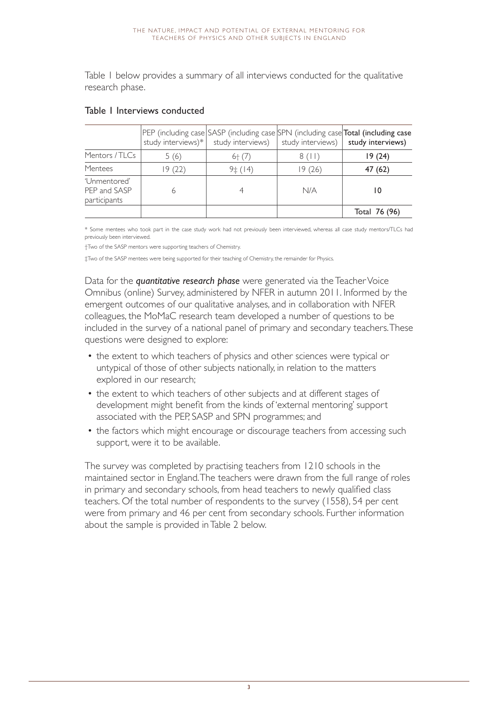Table 1 below provides a summary of all interviews conducted for the qualitative research phase.

|                                              |         | study interviews)* study interviews) | study interviews) | PEP (including case SASP (including case SPN (including case Total (including case<br>study interviews) |
|----------------------------------------------|---------|--------------------------------------|-------------------|---------------------------------------------------------------------------------------------------------|
| Mentors / TLCs                               | 5 (6)   | $6+ (7)$                             | 8(11)             | 19 (24)                                                                                                 |
| Mentees                                      | 19 (22) | $9 \pm (14)$                         | 19 (26)           | 47 (62)                                                                                                 |
| 'Unmentored'<br>PEP and SASP<br>participants | 6       |                                      | N/A               | 10                                                                                                      |
|                                              |         |                                      |                   | Total 76 (96)                                                                                           |

#### Table 1 Interviews conducted

\* Some mentees who took part in the case study work had not previously been interviewed, whereas all case study mentors/TLCs had previously been interviewed.

†Two of the SASP mentors were supporting teachers of Chemistry.

‡Two of the SASP mentees were being supported for their teaching of Chemistry, the remainder for Physics.

Data for the *quantitative research phase* were generated via the Teacher Voice Omnibus (online) Survey, administered by NFER in autumn 2011. Informed by the emergent outcomes of our qualitative analyses, and in collaboration with NFER colleagues, the MoMaC research team developed a number of questions to be included in the survey of a national panel of primary and secondary teachers. These questions were designed to explore:

- the extent to which teachers of physics and other sciences were typical or untypical of those of other subjects nationally, in relation to the matters explored in our research;
- the extent to which teachers of other subjects and at different stages of development might benefit from the kinds of 'external mentoring' support associated with the PEP, SASP and SPN programmes; and
- the factors which might encourage or discourage teachers from accessing such support, were it to be available.

The survey was completed by practising teachers from 1210 schools in the maintained sector in England. The teachers were drawn from the full range of roles in primary and secondary schools, from head teachers to newly qualified class teachers. Of the total number of respondents to the survey (1558), 54 per cent were from primary and 46 per cent from secondary schools. Further information about the sample is provided in Table 2 below.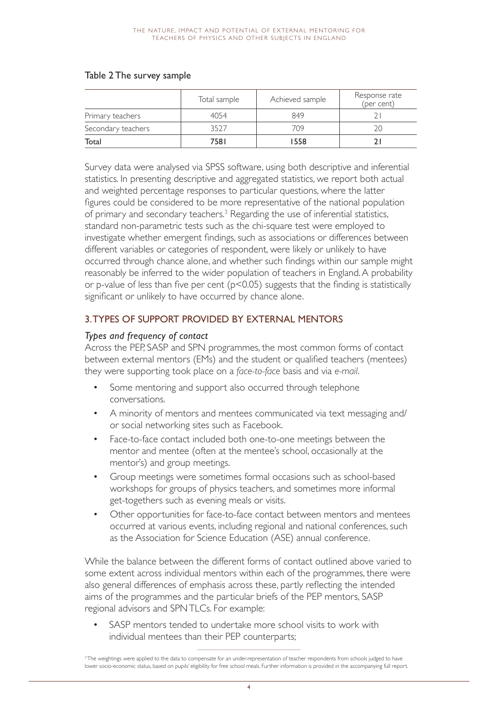#### Table 2 The survey sample

|                    | Total sample | Achieved sample | Response rate<br>(per cent) |
|--------------------|--------------|-----------------|-----------------------------|
| Primary teachers   | 4054         | 849             |                             |
| Secondary teachers | 3527         | 709             |                             |
| Total              | 7581         | 558             |                             |

Survey data were analysed via SPSS software, using both descriptive and inferential statistics. In presenting descriptive and aggregated statistics, we report both actual and weighted percentage responses to particular questions, where the latter figures could be considered to be more representative of the national population of primary and secondary teachers.<sup>3</sup> Regarding the use of inferential statistics, standard non-parametric tests such as the chi-square test were employed to investigate whether emergent findings, such as associations or differences between different variables or categories of respondent, were likely or unlikely to have occurred through chance alone, and whether such findings within our sample might reasonably be inferred to the wider population of teachers in England. A probability or p-value of less than five per cent ( $p$ <0.05) suggests that the finding is statistically significant or unlikely to have occurred by chance alone.

# 3. TYPES OF SUPPORT PROVIDED BY EXTERNAL MENTORS

#### *Types and frequency of contact*

Across the PEP, SASP and SPN programmes, the most common forms of contact between external mentors (EMs) and the student or qualified teachers (mentees) they were supporting took place on a *face-to-face* basis and via *e-mail*.

- Some mentoring and support also occurred through telephone conversations.
- A minority of mentors and mentees communicated via text messaging and/ or social networking sites such as Facebook.
- Face-to-face contact included both one-to-one meetings between the mentor and mentee (often at the mentee's school, occasionally at the mentor's) and group meetings.
- Group meetings were sometimes formal occasions such as school-based workshops for groups of physics teachers, and sometimes more informal get-togethers such as evening meals or visits.
- Other opportunities for face-to-face contact between mentors and mentees occurred at various events, including regional and national conferences, such as the Association for Science Education (ASE) annual conference.

While the balance between the different forms of contact outlined above varied to some extent across individual mentors within each of the programmes, there were also general differences of emphasis across these, partly reflecting the intended aims of the programmes and the particular briefs of the PEP mentors, SASP regional advisors and SPN TLCs. For example:

SASP mentors tended to undertake more school visits to work with individual mentees than their PEP counterparts;

 $3$  The weightings were applied to the data to compensate for an under-representation of teacher respondents from schools judged to have lower socio-economic status, based on pupils' eligibility for free school meals. Further information is provided in the accompanying full report.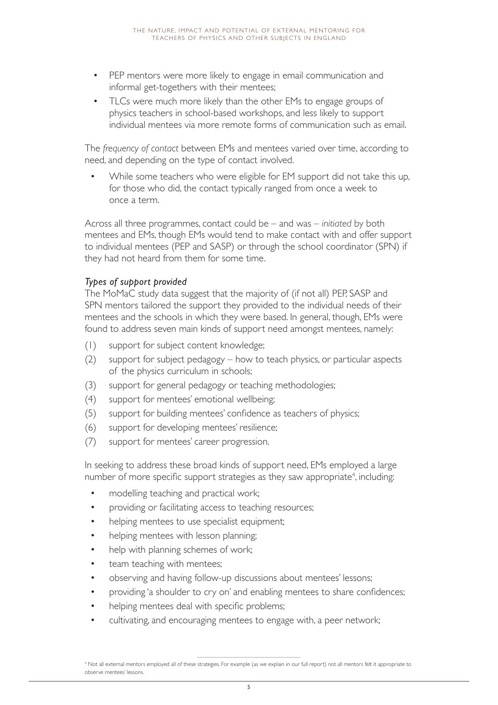- PEP mentors were more likely to engage in email communication and informal get-togethers with their mentees;
- TLCs were much more likely than the other EMs to engage groups of physics teachers in school-based workshops, and less likely to support individual mentees via more remote forms of communication such as email.

The *frequency of contact* between EMs and mentees varied over time, according to need, and depending on the type of contact involved.

 • While some teachers who were eligible for EM support did not take this up, for those who did, the contact typically ranged from once a week to once a term.

Across all three programmes, contact could be – and was – *initiated* by both mentees and EMs, though EMs would tend to make contact with and offer support to individual mentees (PEP and SASP) or through the school coordinator (SPN) if they had not heard from them for some time.

# *Types of support provided*

The MoMaC study data suggest that the majority of (if not all) PEP, SASP and SPN mentors tailored the support they provided to the individual needs of their mentees and the schools in which they were based. In general, though, EMs were found to address seven main kinds of support need amongst mentees, namely:

- (1) support for subject content knowledge;
- (2) support for subject pedagogy how to teach physics, or particular aspects of the physics curriculum in schools;
- (3) support for general pedagogy or teaching methodologies;
- (4) support for mentees' emotional wellbeing;
- (5) support for building mentees' confidence as teachers of physics;
- (6) support for developing mentees' resilience;
- (7) support for mentees' career progression.

In seeking to address these broad kinds of support need, EMs employed a large number of more specific support strategies as they saw appropriate<sup>4</sup>, including:

- modelling teaching and practical work;
- providing or facilitating access to teaching resources;
- helping mentees to use specialist equipment;
- helping mentees with lesson planning;
- help with planning schemes of work;
- team teaching with mentees;
- observing and having follow-up discussions about mentees' lessons;
- providing 'a shoulder to cry on' and enabling mentees to share confidences;
- helping mentees deal with specific problems;
- cultivating, and encouraging mentees to engage with, a peer network;

<sup>4</sup> Not all external mentors employed all of these strategies. For example (as we explain in our full report) not all mentors felt it appropriate to observe mentees' lessons.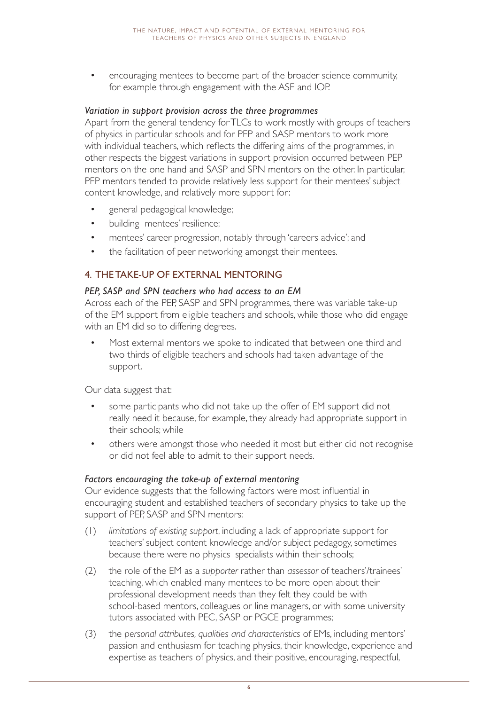• encouraging mentees to become part of the broader science community, for example through engagement with the ASE and IOP.

#### *Variation in support provision across the three programmes*

Apart from the general tendency for TLCs to work mostly with groups of teachers of physics in particular schools and for PEP and SASP mentors to work more with individual teachers, which reflects the differing aims of the programmes, in other respects the biggest variations in support provision occurred between PEP mentors on the one hand and SASP and SPN mentors on the other. In particular, PEP mentors tended to provide relatively less support for their mentees' subject content knowledge, and relatively more support for:

- general pedagogical knowledge;
- building mentees' resilience;
- mentees' career progression, notably through 'careers advice'; and
- the facilitation of peer networking amongst their mentees.

# 4. THE TAKE-UP OF EXTERNAL MENTORING

#### *PEP, SASP and SPN teachers who had access to an EM*

Across each of the PEP, SASP and SPN programmes, there was variable take-up of the EM support from eligible teachers and schools, while those who did engage with an EM did so to differing degrees.

Most external mentors we spoke to indicated that between one third and two thirds of eligible teachers and schools had taken advantage of the support.

Our data suggest that:

- some participants who did not take up the offer of EM support did not really need it because, for example, they already had appropriate support in their schools; while
- others were amongst those who needed it most but either did not recognise or did not feel able to admit to their support needs.

#### *Factors encouraging the take-up of external mentoring*

Our evidence suggests that the following factors were most influential in encouraging student and established teachers of secondary physics to take up the support of PEP, SASP and SPN mentors:

- (1) *limitations of existing support*, including a lack of appropriate support for teachers' subject content knowledge and/or subject pedagogy, sometimes because there were no physics specialists within their schools;
- (2) the role of the EM as a *supporter* rather than *assessor* of teachers'/trainees' teaching, which enabled many mentees to be more open about their professional development needs than they felt they could be with school-based mentors, colleagues or line managers, or with some university tutors associated with PEC, SASP or PGCE programmes;
- (3) the *personal attributes, qualities and characteristics* of EMs, including mentors' passion and enthusiasm for teaching physics, their knowledge, experience and expertise as teachers of physics, and their positive, encouraging, respectful,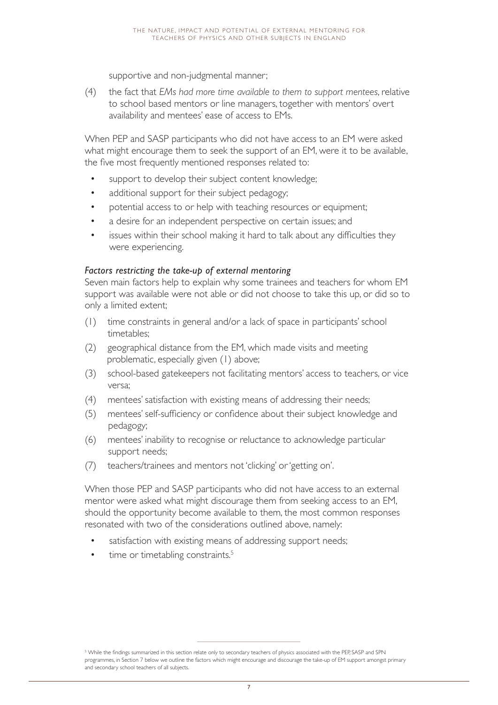supportive and non-judgmental manner;

(4) the fact that *EMs had more time available to them to support mentees*, relative to school based mentors or line managers, together with mentors' overt availability and mentees' ease of access to EMs.

When PEP and SASP participants who did not have access to an EM were asked what might encourage them to seek the support of an EM, were it to be available, the five most frequently mentioned responses related to:

- support to develop their subject content knowledge;
- additional support for their subject pedagogy;
- potential access to or help with teaching resources or equipment;
- a desire for an independent perspective on certain issues; and
- issues within their school making it hard to talk about any difficulties they were experiencing.

#### *Factors restricting the take-up of external mentoring*

Seven main factors help to explain why some trainees and teachers for whom EM support was available were not able or did not choose to take this up, or did so to only a limited extent;

- (1) time constraints in general and/or a lack of space in participants' school timetables;
- (2) geographical distance from the EM, which made visits and meeting problematic, especially given (1) above;
- (3) school-based gatekeepers not facilitating mentors' access to teachers, or vice versa;
- (4) mentees' satisfaction with existing means of addressing their needs;
- (5) mentees' self-sufficiency or confidence about their subject knowledge and pedagogy;
- (6) mentees' inability to recognise or reluctance to acknowledge particular support needs;
- (7) teachers/trainees and mentors not 'clicking' or 'getting on'.

When those PEP and SASP participants who did not have access to an external mentor were asked what might discourage them from seeking access to an EM, should the opportunity become available to them, the most common responses resonated with two of the considerations outlined above, namely:

- satisfaction with existing means of addressing support needs;
- time or timetabling constraints.<sup>5</sup>

<sup>5</sup> While the findings summarized in this section relate only to secondary teachers of physics associated with the PEP, SASP and SPN programmes, in Section 7 below we outline the factors which might encourage and discourage the take-up of EM support amongst primary and secondary school teachers of all subjects.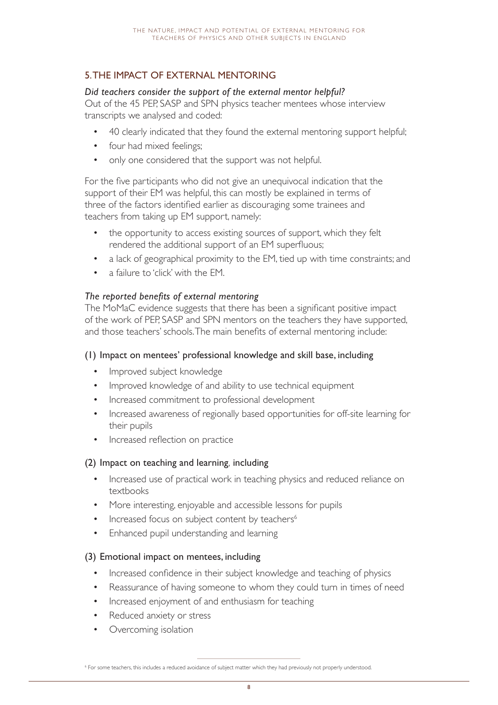# 5. THE IMPACT OF EXTERNAL MENTORING

#### *Did teachers consider the support of the external mentor helpful?*

Out of the 45 PEP, SASP and SPN physics teacher mentees whose interview transcripts we analysed and coded:

- 40 clearly indicated that they found the external mentoring support helpful;
- four had mixed feelings;
- only one considered that the support was not helpful.

For the five participants who did not give an unequivocal indication that the support of their EM was helpful, this can mostly be explained in terms of three of the factors identified earlier as discouraging some trainees and teachers from taking up EM support, namely:

- the opportunity to access existing sources of support, which they felt rendered the additional support of an EM superfluous;
- a lack of geographical proximity to the EM, tied up with time constraints; and
- a failure to 'click' with the EM.

#### *The reported benefits of external mentoring*

The MoMaC evidence suggests that there has been a significant positive impact of the work of PEP, SASP and SPN mentors on the teachers they have supported, and those teachers' schools. The main benefits of external mentoring include:

#### (1) Impact on mentees' professional knowledge and skill base, including

- Improved subject knowledge
- Improved knowledge of and ability to use technical equipment
- Increased commitment to professional development
- Increased awareness of regionally based opportunities for off-site learning for their pupils
- Increased reflection on practice

#### (2) Impact on teaching and learning, including

- Increased use of practical work in teaching physics and reduced reliance on textbooks
- More interesting, enjoyable and accessible lessons for pupils
- Increased focus on subject content by teachers<sup>6</sup>
- Enhanced pupil understanding and learning

#### (3) Emotional impact on mentees, including

- Increased confidence in their subject knowledge and teaching of physics
- Reassurance of having someone to whom they could turn in times of need
- Increased enjoyment of and enthusiasm for teaching
- Reduced anxiety or stress
- Overcoming isolation

<sup>&</sup>lt;sup>6</sup> For some teachers, this includes a reduced avoidance of subject matter which they had previously not properly understood.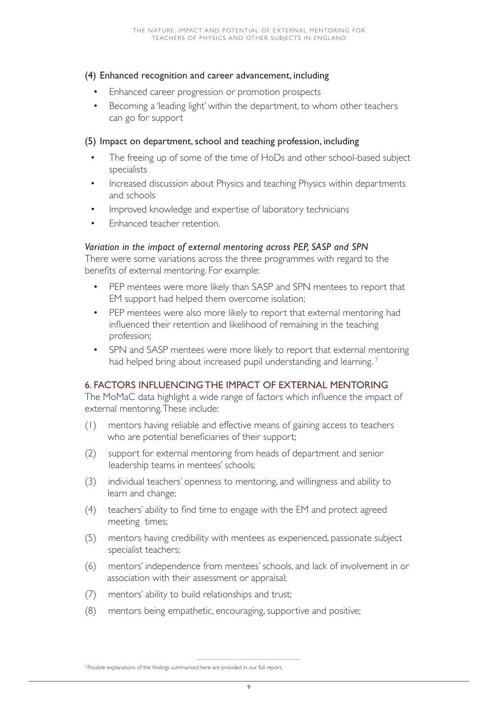#### (4) Enhanced recognition and career advancement, including

- Enhanced career progression or promotion prospects
- Becoming a 'leading light' within the department, to whom other teachers can go for support

#### (5) Impact on department, school and teaching profession, including

- The freeing up of some of the time of HoDs and other school-based subject specialists
- Increased discussion about Physics and teaching Physics within departments and schools
- Improved knowledge and expertise of laboratory technicians
- Enhanced teacher retention.

#### *Variation in the impact of external mentoring across PEP, SASP and SPN*

There were some variations across the three programmes with regard to the benefits of external mentoring. For example:

- PEP mentees were more likely than SASP and SPN mentees to report that EM support had helped them overcome isolation;
- PEP mentees were also more likely to report that external mentoring had influenced their retention and likelihood of remaining in the teaching profession;
- SPN and SASP mentees were more likely to report that external mentoring had helped bring about increased pupil understanding and learning.<sup>7</sup>

#### 6. FACTORS INFLUENCING THE IMPACT OF EXTERNAL MENTORING

The MoMaC data highlight a wide range of factors which influence the impact of external mentoring. These include:

- (1) mentors having reliable and effective means of gaining access to teachers who are potential beneficiaries of their support;
- (2) support for external mentoring from heads of department and senior leadership teams in mentees' schools;
- (3) individual teachers' openness to mentoring, and willingness and ability to learn and change;
- (4) teachers' ability to find time to engage with the EM and protect agreed meeting times;
- (5) mentors having credibility with mentees as experienced, passionate subject specialist teachers;
- (6) mentors' independence from mentees' schools, and lack of involvement in or association with their assessment or appraisal;
- (7) mentors' ability to build relationships and trust;
- (8) mentors being empathetic, encouraging, supportive and positive;

<sup>&</sup>lt;sup>7</sup> Possible explanations of the findings summarised here are provided in our full report.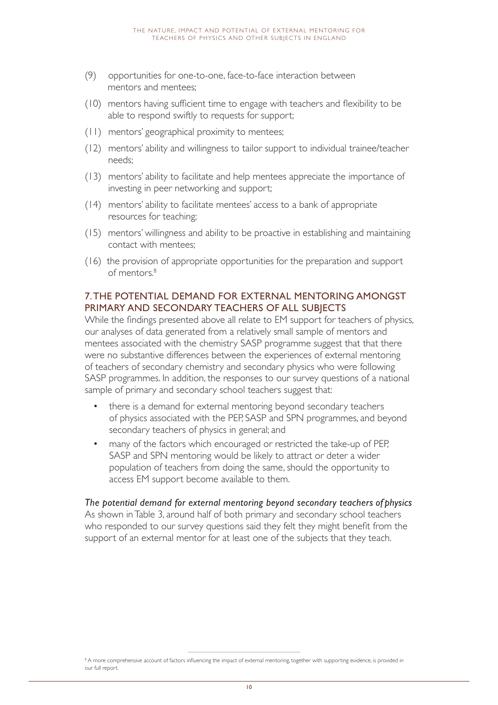- (9) opportunities for one-to-one, face-to-face interaction between mentors and mentees;
- (10) mentors having sufficient time to engage with teachers and flexibility to be able to respond swiftly to requests for support;
- (11) mentors' geographical proximity to mentees;
- (12) mentors' ability and willingness to tailor support to individual trainee/teacher needs;
- (13) mentors' ability to facilitate and help mentees appreciate the importance of investing in peer networking and support;
- (14) mentors' ability to facilitate mentees' access to a bank of appropriate resources for teaching;
- (15) mentors' willingness and ability to be proactive in establishing and maintaining contact with mentees;
- (16) the provision of appropriate opportunities for the preparation and support of mentors.8

## 7. THE POTENTIAL DEMAND FOR EXTERNAL MENTORING AMONGST PRIMARY AND SECONDARY TEACHERS OF ALL SUBJECTS

While the findings presented above all relate to EM support for teachers of physics, our analyses of data generated from a relatively small sample of mentors and mentees associated with the chemistry SASP programme suggest that that there were no substantive differences between the experiences of external mentoring of teachers of secondary chemistry and secondary physics who were following SASP programmes. In addition, the responses to our survey questions of a national sample of primary and secondary school teachers suggest that:

- there is a demand for external mentoring beyond secondary teachers of physics associated with the PEP, SASP and SPN programmes, and beyond secondary teachers of physics in general; and
- many of the factors which encouraged or restricted the take-up of PEP, SASP and SPN mentoring would be likely to attract or deter a wider population of teachers from doing the same, should the opportunity to access EM support become available to them.

#### *The potential demand for external mentoring beyond secondary teachers of physics*

As shown in Table 3, around half of both primary and secondary school teachers who responded to our survey questions said they felt they might benefit from the support of an external mentor for at least one of the subjects that they teach.

<sup>&</sup>lt;sup>8</sup> A more comprehensive account of factors influencing the impact of external mentoring, together with supporting evidence, is provided in our full report.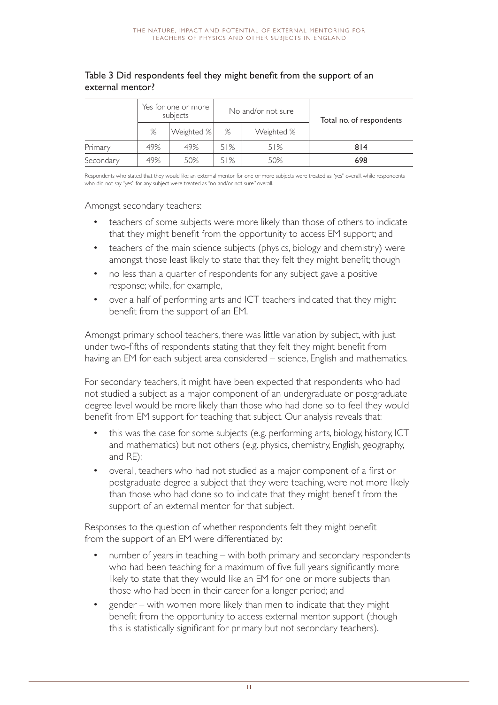#### Table 3 Did respondents feel they might benefit from the support of an external mentor?

|           |     | Yes for one or more<br>subjects | No and/or not sure |            | Total no. of respondents |  |
|-----------|-----|---------------------------------|--------------------|------------|--------------------------|--|
|           | %   | Weighted %                      | %                  | Weighted % |                          |  |
| Primary   | 49% | 49%                             | 51%                | 51%        | 814                      |  |
| Secondary | 49% | 50%                             | 51%                | 50%        | 698                      |  |

Respondents who stated that they would like an external mentor for one or more subjects were treated as "yes" overall, while respondents who did not say "yes" for any subject were treated as "no and/or not sure" overall.

#### Amongst secondary teachers:

- teachers of some subjects were more likely than those of others to indicate that they might benefit from the opportunity to access EM support; and
- teachers of the main science subjects (physics, biology and chemistry) were amongst those least likely to state that they felt they might benefit; though
- no less than a quarter of respondents for any subject gave a positive response; while, for example,
- over a half of performing arts and ICT teachers indicated that they might benefit from the support of an EM.

Amongst primary school teachers, there was little variation by subject, with just under two-fifths of respondents stating that they felt they might benefit from having an EM for each subject area considered – science, English and mathematics.

For secondary teachers, it might have been expected that respondents who had not studied a subject as a major component of an undergraduate or postgraduate degree level would be more likely than those who had done so to feel they would benefit from EM support for teaching that subject. Our analysis reveals that:

- this was the case for some subjects (e.g. performing arts, biology, history, ICT and mathematics) but not others (e.g. physics, chemistry, English, geography, and RE);
- overall, teachers who had not studied as a major component of a first or postgraduate degree a subject that they were teaching, were not more likely than those who had done so to indicate that they might benefit from the support of an external mentor for that subject.

Responses to the question of whether respondents felt they might benefit from the support of an EM were differentiated by:

- number of years in teaching with both primary and secondary respondents who had been teaching for a maximum of five full years significantly more likely to state that they would like an EM for one or more subjects than those who had been in their career for a longer period; and
- gender with women more likely than men to indicate that they might benefit from the opportunity to access external mentor support (though this is statistically significant for primary but not secondary teachers).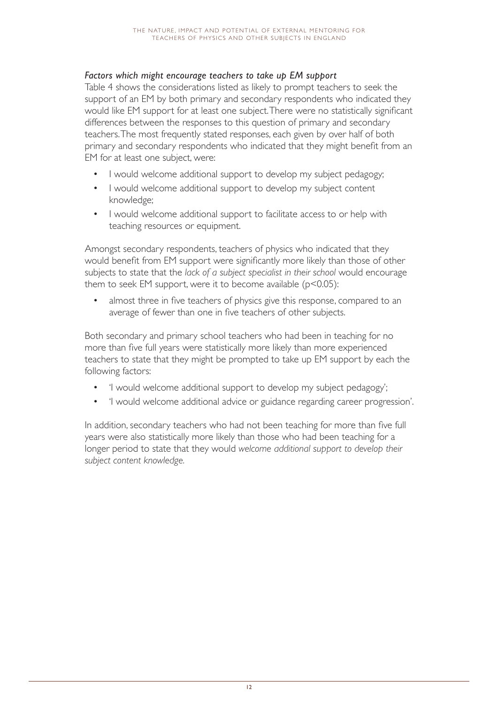# *Factors which might encourage teachers to take up EM support*

Table 4 shows the considerations listed as likely to prompt teachers to seek the support of an EM by both primary and secondary respondents who indicated they would like EM support for at least one subject. There were no statistically significant differences between the responses to this question of primary and secondary teachers. The most frequently stated responses, each given by over half of both primary and secondary respondents who indicated that they might benefit from an EM for at least one subject, were:

- I would welcome additional support to develop my subject pedagogy;
- I would welcome additional support to develop my subject content knowledge;
- I would welcome additional support to facilitate access to or help with teaching resources or equipment.

Amongst secondary respondents, teachers of physics who indicated that they would benefit from EM support were significantly more likely than those of other subjects to state that the *lack of a subject specialist in their school* would encourage them to seek EM support, were it to become available (p<0.05):

almost three in five teachers of physics give this response, compared to an average of fewer than one in five teachers of other subjects.

Both secondary and primary school teachers who had been in teaching for no more than five full years were statistically more likely than more experienced teachers to state that they might be prompted to take up EM support by each the following factors:

- 'I would welcome additional support to develop my subject pedagogy';
- 'I would welcome additional advice or guidance regarding career progression'.

In addition, secondary teachers who had not been teaching for more than five full years were also statistically more likely than those who had been teaching for a longer period to state that they would *welcome additional support to develop their subject content knowledge.*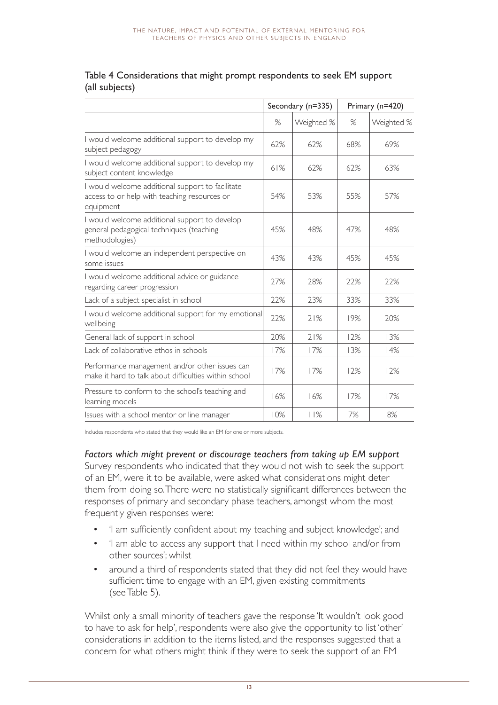|                                                                                                               | Secondary (n=335) |            | Primary (n=420) |            |
|---------------------------------------------------------------------------------------------------------------|-------------------|------------|-----------------|------------|
|                                                                                                               | %                 | Weighted % | %               | Weighted % |
| I would welcome additional support to develop my<br>subject pedagogy                                          | 62%               | 62%        | 68%             | 69%        |
| I would welcome additional support to develop my<br>subject content knowledge                                 | 61%               | 62%        | 62%             | 63%        |
| I would welcome additional support to facilitate<br>access to or help with teaching resources or<br>equipment | 54%               | 53%        | 55%             | 57%        |
| I would welcome additional support to develop<br>general pedagogical techniques (teaching<br>methodologies)   | 45%               | 48%        | 47%             | 48%        |
| I would welcome an independent perspective on<br>some issues                                                  | 43%               | 43%        | 45%             | 45%        |
| I would welcome additional advice or guidance<br>regarding career progression                                 | 27%               | 28%        | 22%             | 22%        |
| Lack of a subject specialist in school                                                                        | 22%               | 23%        | 33%             | 33%        |
| I would welcome additional support for my emotional<br>wellbeing                                              | 22%               | 21%        | 19%             | 20%        |
| General lack of support in school                                                                             | 20%               | 21%        | 12%             | 13%        |
| Lack of collaborative ethos in schools                                                                        | 17%               | 17%        | 13%             | 14%        |
| Performance management and/or other issues can<br>make it hard to talk about difficulties within school       | 17%               | 17%        | 12%             | 12%        |
| Pressure to conform to the school's teaching and<br>learning models                                           | 16%               | 16%        | 17%             | 17%        |
| Issues with a school mentor or line manager                                                                   | 10%               | 11%        | 7%              | 8%         |

#### Table 4 Considerations that might prompt respondents to seek EM support (all subjects)

Includes respondents who stated that they would like an EM for one or more subjects.

*Factors which might prevent or discourage teachers from taking up EM support* Survey respondents who indicated that they would not wish to seek the support of an EM, were it to be available, were asked what considerations might deter them from doing so. There were no statistically significant differences between the responses of primary and secondary phase teachers, amongst whom the most frequently given responses were:

- 'I am sufficiently confident about my teaching and subject knowledge'; and
- 'I am able to access any support that I need within my school and/or from other sources'; whilst
- around a third of respondents stated that they did not feel they would have sufficient time to engage with an EM, given existing commitments (see Table 5).

Whilst only a small minority of teachers gave the response 'It wouldn't look good to have to ask for help', respondents were also give the opportunity to list 'other' considerations in addition to the items listed, and the responses suggested that a concern for what others might think if they were to seek the support of an EM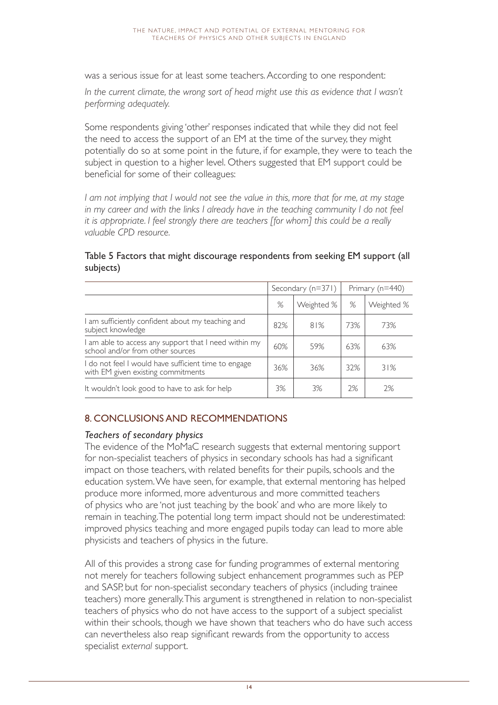was a serious issue for at least some teachers. According to one respondent:

In the current climate, the wrong sort of head might use this as evidence that I wasn't *performing adequately.*

Some respondents giving 'other' responses indicated that while they did not feel the need to access the support of an EM at the time of the survey, they might potentially do so at some point in the future, if for example, they were to teach the subject in question to a higher level. Others suggested that EM support could be beneficial for some of their colleagues:

I am not implying that I would not see the value in this, more that for me, at my stage *in my career and with the links I already have in the teaching community I do not feel it is appropriate. I feel strongly there are teachers [for whom] this could be a really valuable CPD resource.*

# Table 5 Factors that might discourage respondents from seeking EM support (all subjects)

|                                                                                            | Secondary (n=371) |            | Primary ( $n=440$ ) |            |
|--------------------------------------------------------------------------------------------|-------------------|------------|---------------------|------------|
|                                                                                            | %                 | Weighted % | %                   | Weighted % |
| am sufficiently confident about my teaching and<br>subject knowledge                       | 82%               | 81%        | 73%                 | 73%        |
| I am able to access any support that I need within my<br>school and/or from other sources  | 60%               | 59%        | 63%                 | 63%        |
| I do not feel I would have sufficient time to engage<br>with EM given existing commitments | 36%               | 36%        | 32%                 | 31%        |
| It wouldn't look good to have to ask for help                                              | 3%                | 3%         | 2%                  | 2%         |

# 8. CONCLUSIONS AND RECOMMENDATIONS

#### *Teachers of secondary physics*

The evidence of the MoMaC research suggests that external mentoring support for non-specialist teachers of physics in secondary schools has had a significant impact on those teachers, with related benefits for their pupils, schools and the education system. We have seen, for example, that external mentoring has helped produce more informed, more adventurous and more committed teachers of physics who are 'not just teaching by the book' and who are more likely to remain in teaching. The potential long term impact should not be underestimated: improved physics teaching and more engaged pupils today can lead to more able physicists and teachers of physics in the future.

All of this provides a strong case for funding programmes of external mentoring not merely for teachers following subject enhancement programmes such as PEP and SASP, but for non-specialist secondary teachers of physics (including trainee teachers) more generally. This argument is strengthened in relation to non-specialist teachers of physics who do not have access to the support of a subject specialist within their schools, though we have shown that teachers who do have such access can nevertheless also reap significant rewards from the opportunity to access specialist *external* support.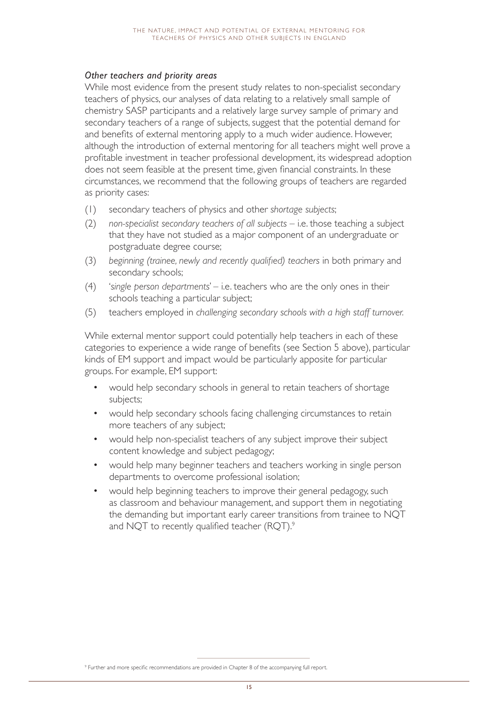#### *Other teachers and priority areas*

While most evidence from the present study relates to non-specialist secondary teachers of physics, our analyses of data relating to a relatively small sample of chemistry SASP participants and a relatively large survey sample of primary and secondary teachers of a range of subjects, suggest that the potential demand for and benefits of external mentoring apply to a much wider audience. However, although the introduction of external mentoring for all teachers might well prove a profitable investment in teacher professional development, its widespread adoption does not seem feasible at the present time, given financial constraints. In these circumstances, we recommend that the following groups of teachers are regarded as priority cases:

- (1) secondary teachers of physics and other *shortage subjects*;
- (2) *non-specialist secondary teachers of all subjects* i.e. those teaching a subject that they have not studied as a major component of an undergraduate or postgraduate degree course;
- (3) *beginning (trainee, newly and recently qualified) teachers* in both primary and secondary schools;
- (4) '*single person departments*' i.e. teachers who are the only ones in their schools teaching a particular subject;
- (5) teachers employed in *challenging secondary schools with a high staff turnover.*

While external mentor support could potentially help teachers in each of these categories to experience a wide range of benefits (see Section 5 above), particular kinds of EM support and impact would be particularly apposite for particular groups. For example, EM support:

- would help secondary schools in general to retain teachers of shortage subjects;
- would help secondary schools facing challenging circumstances to retain more teachers of any subject;
- would help non-specialist teachers of any subject improve their subject content knowledge and subject pedagogy;
- would help many beginner teachers and teachers working in single person departments to overcome professional isolation;
- would help beginning teachers to improve their general pedagogy, such as classroom and behaviour management, and support them in negotiating the demanding but important early career transitions from trainee to NQT and NQT to recently qualified teacher (RQT).<sup>9</sup>

<sup>9</sup> Further and more specific recommendations are provided in Chapter 8 of the accompanying full report.